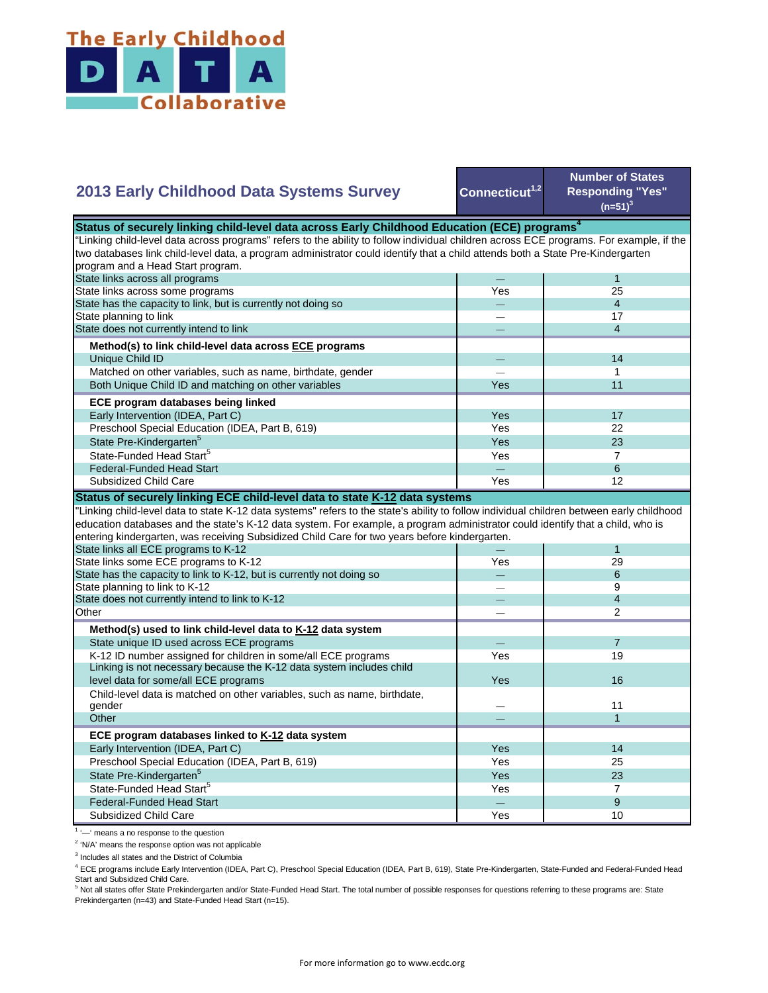

|  | 2013 Early Childhood Data Systems Survey |  |  |
|--|------------------------------------------|--|--|
|  |                                          |  |  |

Connecticut<sup>1,2</sup>

**Number of States Responding "Yes"**   $(n=51)^3$ 

| Status of securely linking child-level data across Early Childhood Education (ECE) programs $^4$                                          |     |                          |  |  |  |
|-------------------------------------------------------------------------------------------------------------------------------------------|-----|--------------------------|--|--|--|
| "Linking child-level data across programs" refers to the ability to follow individual children across ECE programs. For example, if the   |     |                          |  |  |  |
| two databases link child-level data, a program administrator could identify that a child attends both a State Pre-Kindergarten            |     |                          |  |  |  |
| program and a Head Start program.                                                                                                         |     |                          |  |  |  |
| State links across all programs                                                                                                           |     | $\mathbf{1}$             |  |  |  |
| State links across some programs                                                                                                          | Yes | 25                       |  |  |  |
| State has the capacity to link, but is currently not doing so                                                                             |     | $\overline{4}$           |  |  |  |
| State planning to link                                                                                                                    |     | 17                       |  |  |  |
| State does not currently intend to link                                                                                                   |     | $\overline{4}$           |  |  |  |
| Method(s) to link child-level data across ECE programs                                                                                    |     |                          |  |  |  |
| Unique Child ID                                                                                                                           |     | 14                       |  |  |  |
| Matched on other variables, such as name, birthdate, gender                                                                               |     | 1                        |  |  |  |
| Both Unique Child ID and matching on other variables                                                                                      | Yes | 11                       |  |  |  |
| ECE program databases being linked                                                                                                        |     |                          |  |  |  |
| Early Intervention (IDEA, Part C)                                                                                                         | Yes | 17                       |  |  |  |
| Preschool Special Education (IDEA, Part B, 619)                                                                                           | Yes | 22                       |  |  |  |
| State Pre-Kindergarten <sup>5</sup>                                                                                                       | Yes | 23                       |  |  |  |
| State-Funded Head Start <sup>5</sup>                                                                                                      | Yes | $\overline{7}$           |  |  |  |
| <b>Federal-Funded Head Start</b>                                                                                                          |     | 6                        |  |  |  |
| Subsidized Child Care                                                                                                                     | Yes | 12                       |  |  |  |
| Status of securely linking ECE child-level data to state K-12 data systems                                                                |     |                          |  |  |  |
| "Linking child-level data to state K-12 data systems" refers to the state's ability to follow individual children between early childhood |     |                          |  |  |  |
| education databases and the state's K-12 data system. For example, a program administrator could identify that a child, who is            |     |                          |  |  |  |
| entering kindergarten, was receiving Subsidized Child Care for two years before kindergarten.                                             |     |                          |  |  |  |
| State links all ECE programs to K-12                                                                                                      |     | $\mathbf{1}$             |  |  |  |
| State links some ECE programs to K-12                                                                                                     | Yes | 29                       |  |  |  |
| State has the capacity to link to K-12, but is currently not doing so                                                                     |     | 6                        |  |  |  |
| State planning to link to K-12                                                                                                            |     | 9                        |  |  |  |
| State does not currently intend to link to K-12                                                                                           |     | $\overline{\mathcal{L}}$ |  |  |  |
| Other                                                                                                                                     |     | $\mathfrak{p}$           |  |  |  |
| Method(s) used to link child-level data to K-12 data system                                                                               |     |                          |  |  |  |
| State unique ID used across ECE programs                                                                                                  |     | $\overline{7}$           |  |  |  |
| K-12 ID number assigned for children in some/all ECE programs                                                                             | Yes | 19                       |  |  |  |
| Linking is not necessary because the K-12 data system includes child                                                                      |     |                          |  |  |  |
| level data for some/all ECE programs                                                                                                      | Yes | 16                       |  |  |  |
| Child-level data is matched on other variables, such as name, birthdate,                                                                  |     |                          |  |  |  |
| gender                                                                                                                                    |     |                          |  |  |  |
|                                                                                                                                           |     | 11                       |  |  |  |
| Other                                                                                                                                     |     | $\mathbf{1}$             |  |  |  |
|                                                                                                                                           |     |                          |  |  |  |
| ECE program databases linked to K-12 data system                                                                                          | Yes | 14                       |  |  |  |
| Early Intervention (IDEA, Part C)                                                                                                         | Yes | 25                       |  |  |  |
| Preschool Special Education (IDEA, Part B, 619)                                                                                           | Yes | 23                       |  |  |  |
| State Pre-Kindergarten <sup>5</sup><br>State-Funded Head Start <sup>5</sup>                                                               | Yes | $\overline{7}$           |  |  |  |
| <b>Federal-Funded Head Start</b>                                                                                                          |     | 9                        |  |  |  |

<sup>1</sup> '-' means a no response to the question

<sup>2</sup> 'N/A' means the response option was not applicable

<sup>3</sup> Includes all states and the District of Columbia

<sup>4</sup> ECE programs include Early Intervention (IDEA, Part C), Preschool Special Education (IDEA, Part B, 619), State Pre-Kindergarten, State-Funded and Federal-Funded Head

Start and Subsidized Child Care.<br><sup>5</sup> Not all states offer State Prekindergarten and/or State-Funded Head Start. The total number of possible responses for questions referring to these programs are: State Prekindergarten (n=43) and State-Funded Head Start (n=15).